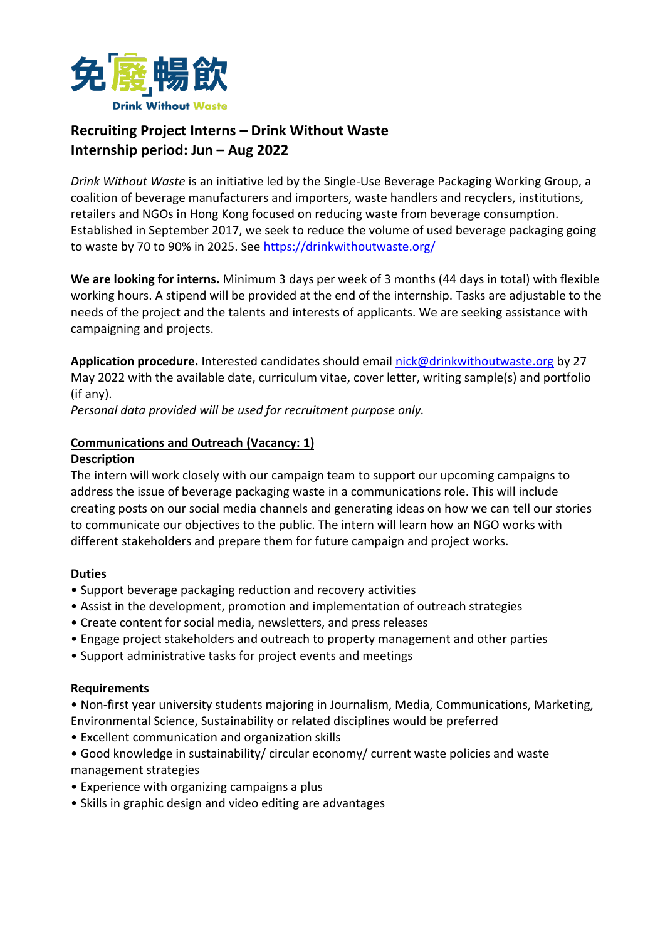

# **Recruiting Project Interns – Drink Without Waste Internship period: Jun – Aug 2022**

*Drink Without Waste* is an initiative led by the Single-Use Beverage Packaging Working Group, a coalition of beverage manufacturers and importers, waste handlers and recyclers, institutions, retailers and NGOs in Hong Kong focused on reducing waste from beverage consumption. Established in September 2017, we seek to reduce the volume of used beverage packaging going to waste by 70 to 90% in 2025. See<https://drinkwithoutwaste.org/>

**We are looking for interns.** Minimum 3 days per week of 3 months (44 days in total) with flexible working hours. A stipend will be provided at the end of the internship. Tasks are adjustable to the needs of the project and the talents and interests of applicants. We are seeking assistance with campaigning and projects.

**Application procedure.** Interested candidates should email [nick@drinkwithoutwaste.org](mailto:nick@drinkwithoutwaste.org) by 27 May 2022 with the available date, curriculum vitae, cover letter, writing sample(s) and portfolio (if any).

*Personal data provided will be used for recruitment purpose only.*

## **Communications and Outreach (Vacancy: 1)**

## **Description**

The intern will work closely with our campaign team to support our upcoming campaigns to address the issue of beverage packaging waste in a communications role. This will include creating posts on our social media channels and generating ideas on how we can tell our stories to communicate our objectives to the public. The intern will learn how an NGO works with different stakeholders and prepare them for future campaign and project works.

## **Duties**

- Support beverage packaging reduction and recovery activities
- Assist in the development, promotion and implementation of outreach strategies
- Create content for social media, newsletters, and press releases
- Engage project stakeholders and outreach to property management and other parties
- Support administrative tasks for project events and meetings

## **Requirements**

• Non-first year university students majoring in Journalism, Media, Communications, Marketing, Environmental Science, Sustainability or related disciplines would be preferred

- Excellent communication and organization skills
- Good knowledge in sustainability/ circular economy/ current waste policies and waste management strategies
- Experience with organizing campaigns a plus
- Skills in graphic design and video editing are advantages